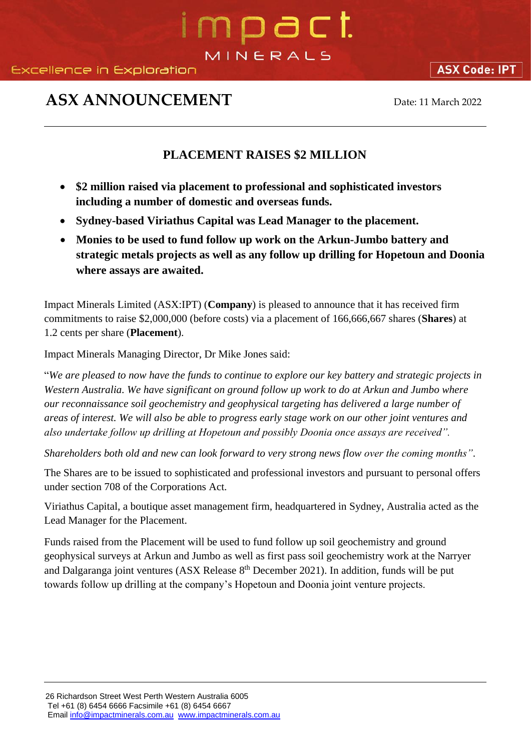# mpact MINERALS

### **ASX ANNOUNCEMENT** Date: 11 March 2022

### **PLACEMENT RAISES \$2 MILLION**

- **\$2 million raised via placement to professional and sophisticated investors including a number of domestic and overseas funds.**
- **Sydney-based Viriathus Capital was Lead Manager to the placement.**
- **Monies to be used to fund follow up work on the Arkun-Jumbo battery and strategic metals projects as well as any follow up drilling for Hopetoun and Doonia where assays are awaited.**

Impact Minerals Limited (ASX:IPT) (**Company**) is pleased to announce that it has received firm commitments to raise \$2,000,000 (before costs) via a placement of 166,666,667 shares (**Shares**) at 1.2 cents per share (**Placement**).

Impact Minerals Managing Director, Dr Mike Jones said:

"*We are pleased to now have the funds to continue to explore our key battery and strategic projects in Western Australia. We have significant on ground follow up work to do at Arkun and Jumbo where our reconnaissance soil geochemistry and geophysical targeting has delivered a large number of areas of interest. We will also be able to progress early stage work on our other joint ventures and also undertake follow up drilling at Hopetoun and possibly Doonia once assays are received".*

*Shareholders both old and new can look forward to very strong news flow over the coming months"*.

The Shares are to be issued to sophisticated and professional investors and pursuant to personal offers under section 708 of the Corporations Act.

Viriathus Capital, a boutique asset management firm, headquartered in Sydney, Australia acted as the Lead Manager for the Placement.

Funds raised from the Placement will be used to fund follow up soil geochemistry and ground geophysical surveys at Arkun and Jumbo as well as first pass soil geochemistry work at the Narryer and Dalgaranga joint ventures (ASX Release 8<sup>th</sup> December 2021). In addition, funds will be put towards follow up drilling at the company's Hopetoun and Doonia joint venture projects.